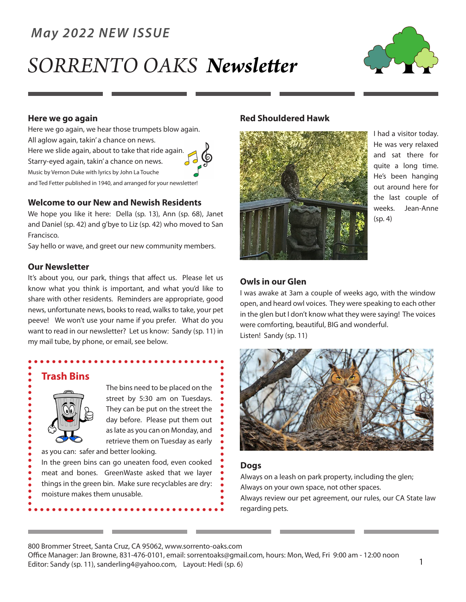### *May 2022 NEW ISSUE*

# *SORRENTO OAKS Newsletter*



#### **Here we go again**

Here we go again, we hear those trumpets blow again. All aglow again, takin' a chance on news. Here we slide again, about to take that ride again. Starry-eyed again, takin' a chance on news. Music by Vernon Duke with lyrics by John La Touche and Ted Fetter published in 1940, and arranged for your newsletter!



#### **Welcome to our New and Newish Residents**

We hope you like it here: Della (sp. 13), Ann (sp. 68), Janet and Daniel (sp. 42) and g'bye to Liz (sp. 42) who moved to San Francisco.

Say hello or wave, and greet our new community members.

#### **Our Newsletter**

It's about you, our park, things that affect us. Please let us know what you think is important, and what you'd like to share with other residents. Reminders are appropriate, good news, unfortunate news, books to read, walks to take, your pet peeve! We won't use your name if you prefer. What do you want to read in our newsletter? Let us know: Sandy (sp. 11) in my mail tube, by phone, or email, see below.

#### **Trash Bins**



The bins need to be placed on the street by 5:30 am on Tuesdays. They can be put on the street the day before. Please put them out as late as you can on Monday, and retrieve them on Tuesday as early

as you can: safer and better looking.

In the green bins can go uneaten food, even cooked meat and bones. GreenWaste asked that we layer things in the green bin. Make sure recyclables are dry: moisture makes them unusable.

#### **Red Shouldered Hawk**



I had a visitor today. He was very relaxed and sat there for quite a long time. He's been hanging out around here for the last couple of weeks. Jean-Anne  $(sp, 4)$ 

#### **Owls in our Glen**

I was awake at 3am a couple of weeks ago, with the window open, and heard owl voices. They were speaking to each other in the glen but I don't know what they were saying! The voices were comforting, beautiful, BIG and wonderful. Listen! Sandy (sp. 11)



#### **Dogs**

Always on a leash on park property, including the glen; Always on your own space, not other spaces. Always review our pet agreement, our rules, our CA State law regarding pets.

800 Brommer Street, Santa Cruz, CA 95062, www.sorrento-oaks.com

Office Manager: Jan Browne, 831-476-0101, email: sorrentoaks@gmail.com, hours: Mon, Wed, Fri 9:00 am - 12:00 noon Editor: Sandy (sp. 11), sanderling4@yahoo.com, Layout: Hedi (sp. 6) 1